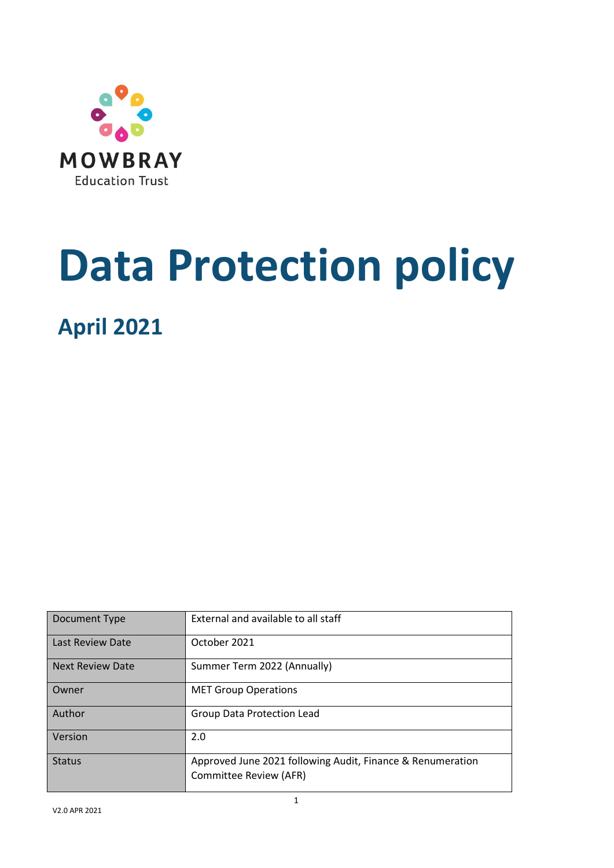

# **Data Protection policy**

**April 2021**

| Document Type           | External and available to all staff                                                  |
|-------------------------|--------------------------------------------------------------------------------------|
| Last Review Date        | October 2021                                                                         |
| <b>Next Review Date</b> | Summer Term 2022 (Annually)                                                          |
| Owner                   | <b>MET Group Operations</b>                                                          |
| Author                  | Group Data Protection Lead                                                           |
| Version                 | 2.0                                                                                  |
| <b>Status</b>           | Approved June 2021 following Audit, Finance & Renumeration<br>Committee Review (AFR) |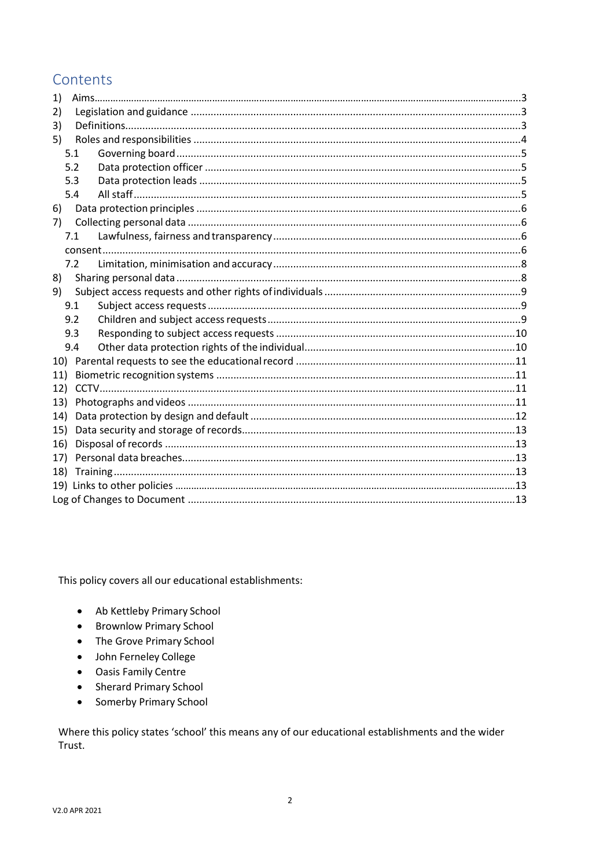## Contents

| 1)  |     |  |  |  |  |
|-----|-----|--|--|--|--|
| 2)  |     |  |  |  |  |
| 3)  |     |  |  |  |  |
| 5)  |     |  |  |  |  |
|     | 5.1 |  |  |  |  |
|     | 5.2 |  |  |  |  |
|     | 5.3 |  |  |  |  |
|     | 5.4 |  |  |  |  |
| 6)  |     |  |  |  |  |
| 7)  |     |  |  |  |  |
|     | 7.1 |  |  |  |  |
|     |     |  |  |  |  |
|     | 7.2 |  |  |  |  |
| 8)  |     |  |  |  |  |
| 9)  |     |  |  |  |  |
|     | 9.1 |  |  |  |  |
|     | 9.2 |  |  |  |  |
|     | 9.3 |  |  |  |  |
|     | 9.4 |  |  |  |  |
| 10) |     |  |  |  |  |
| 11) |     |  |  |  |  |
| 12) |     |  |  |  |  |
| 13) |     |  |  |  |  |
| 14) |     |  |  |  |  |
| 15) |     |  |  |  |  |
| 16) |     |  |  |  |  |
| 17) |     |  |  |  |  |
| 18) |     |  |  |  |  |
|     |     |  |  |  |  |
|     |     |  |  |  |  |

This policy covers all our educational establishments:

- Ab Kettleby Primary School
- Brownlow Primary School
- The Grove Primary School
- · John Ferneley College
- Oasis Family Centre
- Sherard Primary School
- Somerby Primary School  $\bullet$

Where this policy states 'school' this means any of our educational establishments and the wider Trust.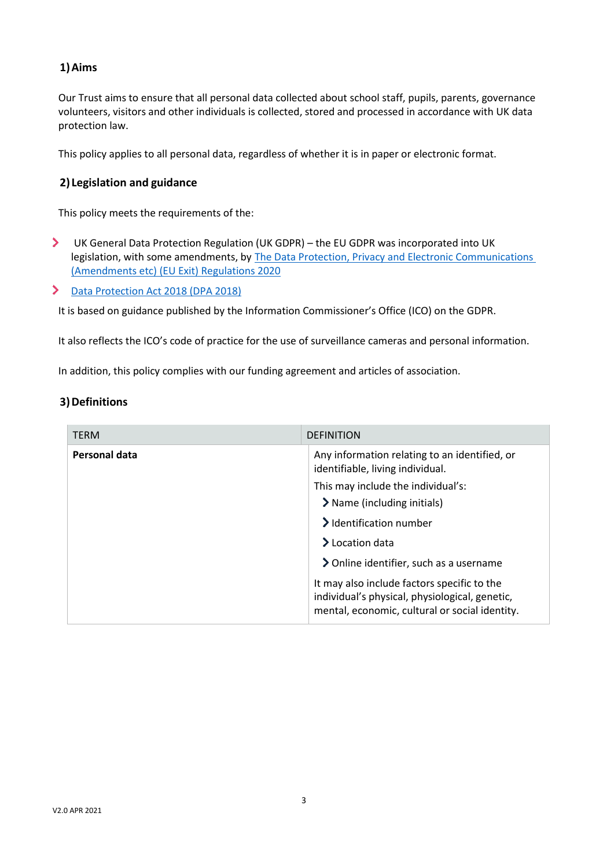#### **1)Aims**

Our Trust aims to ensure that all personal data collected about school staff, pupils, parents, governance volunteers, visitors and other individuals is collected, stored and processed in accordance with UK data protection law.

This policy applies to all personal data, regardless of whether it is in paper or electronic format.

#### **2) Legislation and guidance**

This policy meets the requirements of the:

 $\blacktriangleright$ UK General Data Protection Regulation (UK GDPR) – the EU GDPR was incorporated into UK legislation, with some amendments, by [The Data Protection, Privacy and Electronic Communications](https://www.legislation.gov.uk/uksi/2020/1586/made)  [\(Amendments etc\) \(EU Exit\) Regulations 2020](https://www.legislation.gov.uk/uksi/2020/1586/made)

#### [Data Protection Act 2018 \(DPA 2018\)](http://www.legislation.gov.uk/ukpga/2018/12/contents/enacted)  $\blacktriangleright$

It is based on guidance published by the Information Commissioner's Office (ICO) on the [GDPR.](https://ico.org.uk/for-organisations/guide-to-the-general-data-protection-regulation-gdpr/)

It also reflects the ICO's [code of practice](https://ico.org.uk/media/for-organisations/documents/1542/cctv-code-of-practice.pdf) for the use of surveillance cameras and personal information.

In addition, this policy complies with our funding agreement and articles of association.

#### **3)Definitions**

| <b>TERM</b>   | <b>DEFINITION</b>                                                                                                                               |  |
|---------------|-------------------------------------------------------------------------------------------------------------------------------------------------|--|
| Personal data | Any information relating to an identified, or<br>identifiable, living individual.                                                               |  |
|               | This may include the individual's:                                                                                                              |  |
|               | > Name (including initials)                                                                                                                     |  |
|               | > Identification number                                                                                                                         |  |
|               | $\blacktriangleright$ Location data                                                                                                             |  |
|               | > Online identifier, such as a username                                                                                                         |  |
|               | It may also include factors specific to the<br>individual's physical, physiological, genetic,<br>mental, economic, cultural or social identity. |  |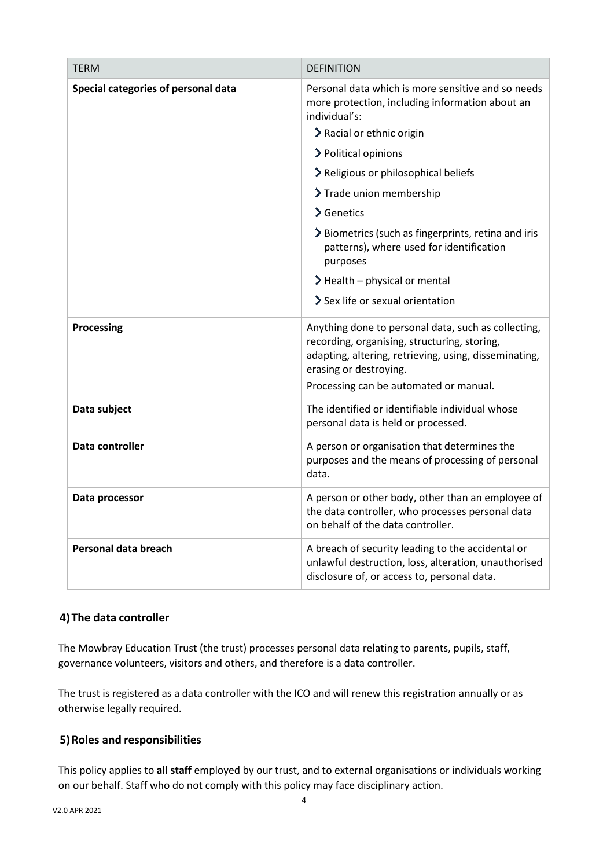| <b>TERM</b>                         | <b>DEFINITION</b>                                                                                                                                                                                                                |
|-------------------------------------|----------------------------------------------------------------------------------------------------------------------------------------------------------------------------------------------------------------------------------|
| Special categories of personal data | Personal data which is more sensitive and so needs<br>more protection, including information about an<br>individual's:                                                                                                           |
|                                     | > Racial or ethnic origin                                                                                                                                                                                                        |
|                                     | > Political opinions                                                                                                                                                                                                             |
|                                     | > Religious or philosophical beliefs                                                                                                                                                                                             |
|                                     | > Trade union membership                                                                                                                                                                                                         |
|                                     | > Genetics                                                                                                                                                                                                                       |
|                                     | > Biometrics (such as fingerprints, retina and iris<br>patterns), where used for identification<br>purposes                                                                                                                      |
|                                     | $\blacktriangleright$ Health – physical or mental                                                                                                                                                                                |
|                                     | > Sex life or sexual orientation                                                                                                                                                                                                 |
| Processing                          | Anything done to personal data, such as collecting,<br>recording, organising, structuring, storing,<br>adapting, altering, retrieving, using, disseminating,<br>erasing or destroying.<br>Processing can be automated or manual. |
| Data subject                        | The identified or identifiable individual whose<br>personal data is held or processed.                                                                                                                                           |
| <b>Data controller</b>              | A person or organisation that determines the<br>purposes and the means of processing of personal<br>data.                                                                                                                        |
| Data processor                      | A person or other body, other than an employee of<br>the data controller, who processes personal data<br>on behalf of the data controller.                                                                                       |
| Personal data breach                | A breach of security leading to the accidental or<br>unlawful destruction, loss, alteration, unauthorised<br>disclosure of, or access to, personal data.                                                                         |

### **4)The data controller**

The Mowbray Education Trust (the trust) processes personal data relating to parents, pupils, staff, governance volunteers, visitors and others, and therefore is a data controller.

The trust is registered as a data controller with the ICO and will renew this registration annually or as otherwise legally required.

#### **5)Roles and responsibilities**

This policy applies to **all staff** employed by our trust, and to external organisations or individuals working on our behalf. Staff who do not comply with this policy may face disciplinary action.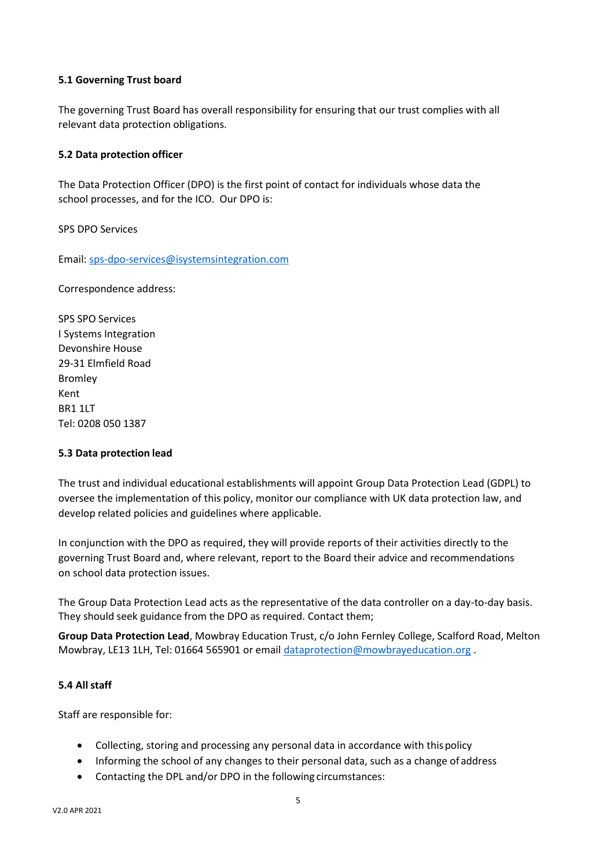#### **5.1 Governing Trust board**

The governing Trust Board has overall responsibility for ensuring that our trust complies with all relevant data protection obligations.

#### **5.2 Data protection officer**

The Data Protection Officer (DPO) is the first point of contact for individuals whose data the school processes, and for the ICO. Our DPO is:

SPS DPO Services

Email[: sps-dpo-services@isystemsintegration.com](mailto:sps-dpo-services@isystemsintegration.com)

Correspondence address:

SPS SPO Services I Systems Integration Devonshire House 29-31 Elmfield Road Bromley Kent BR1 1LT Tel: 0208 050 1387

#### **5.3 Data protection lead**

The trust and individual educational establishments will appoint Group Data Protection Lead (GDPL) to oversee the implementation of this policy, monitor our compliance with UK data protection law, and develop related policies and guidelines where applicable.

In conjunction with the DPO as required, they will provide reports of their activities directly to the governing Trust Board and, where relevant, report to the Board their advice and recommendations on school data protection issues.

The Group Data Protection Lead acts as the representative of the data controller on a day-to-day basis. They should seek guidance from the DPO as required. Contact them;

**Group Data Protection Lead**, Mowbray Education Trust, c/o John Fernley College, Scalford Road, Melton Mowbray, LE13 1LH, Tel: 01664 565901 or email [dataprotection@mowbrayeducation.org](mailto:dataprotection@mowbrayeducation.org) .

#### **5.4 All staff**

Staff are responsible for:

- Collecting, storing and processing any personal data in accordance with thispolicy
- Informing the school of any changes to their personal data, such as a change of address
- Contacting the DPL and/or DPO in the following circumstances: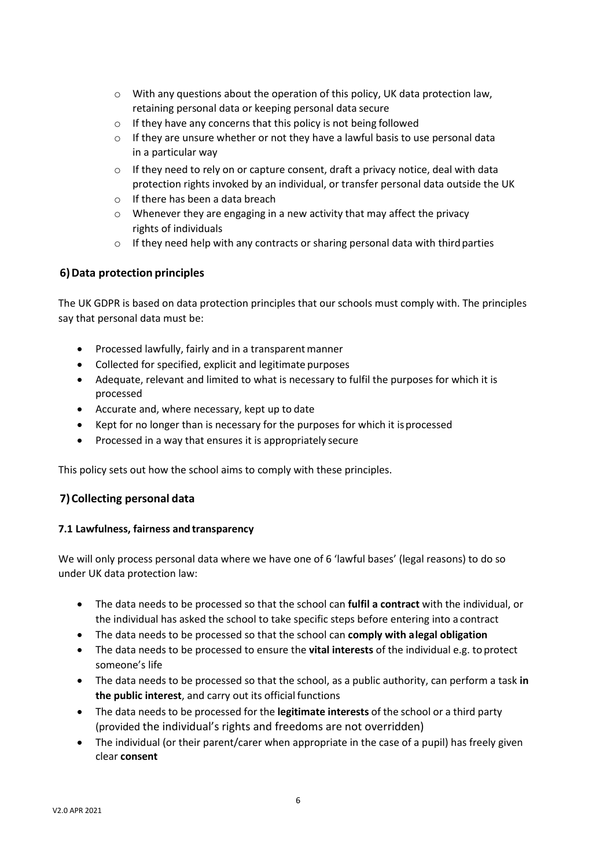- o With any questions about the operation of this policy, UK data protection law, retaining personal data or keeping personal data secure
- o If they have any concerns that this policy is not being followed
- $\circ$  If they are unsure whether or not they have a lawful basis to use personal data in a particular way
- $\circ$  If they need to rely on or capture consent, draft a privacy notice, deal with data protection rights invoked by an individual, or transfer personal data outside the UK
- o If there has been a data breach
- o Whenever they are engaging in a new activity that may affect the privacy rights of individuals
- $\circ$  If they need help with any contracts or sharing personal data with third parties

#### **6)Data protection principles**

The UK GDPR is based on data protection principles that our schools must comply with. The principles say that personal data must be:

- Processed lawfully, fairly and in a transparent manner
- Collected for specified, explicit and legitimate purposes
- Adequate, relevant and limited to what is necessary to fulfil the purposes for which it is processed
- Accurate and, where necessary, kept up to date
- Kept for no longer than is necessary for the purposes for which it isprocessed
- Processed in a way that ensures it is appropriately secure

This policy sets out how the school aims to comply with these principles.

#### **7)Collecting personal data**

#### **7.1 Lawfulness, fairness and transparency**

We will only process personal data where we have one of 6 'lawful bases' (legal reasons) to do so under UK data protection law:

- The data needs to be processed so that the school can **fulfil a contract** with the individual, or the individual has asked the school to take specific steps before entering into a contract
- The data needs to be processed so that the school can **comply with alegal obligation**
- The data needs to be processed to ensure the **vital interests** of the individual e.g. toprotect someone's life
- The data needs to be processed so that the school, as a public authority, can perform a task **in the public interest**, and carry out its official functions
- The data needs to be processed for the **legitimate interests** of the school or a third party (provided the individual's rights and freedoms are not overridden)
- The individual (or their parent/carer when appropriate in the case of a pupil) has freely given clear **consent**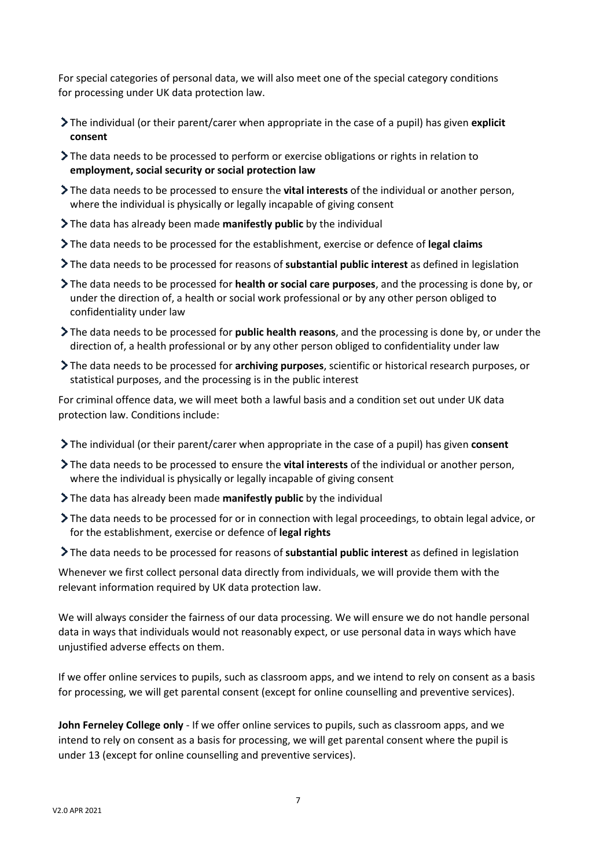For special categories of personal data, we will also meet one of the special category conditions for processing under UK data protection law.

- The individual (or their parent/carer when appropriate in the case of a pupil) has given **explicit consent**
- The data needs to be processed to perform or exercise obligations or rights in relation to **employment, social security or social protection law**
- The data needs to be processed to ensure the **vital interests** of the individual or another person, where the individual is physically or legally incapable of giving consent
- The data has already been made **manifestly public** by the individual
- The data needs to be processed for the establishment, exercise or defence of **legal claims**
- The data needs to be processed for reasons of **substantial public interest** as defined in legislation
- The data needs to be processed for **health or social care purposes**, and the processing is done by, or under the direction of, a health or social work professional or by any other person obliged to confidentiality under law
- The data needs to be processed for **public health reasons**, and the processing is done by, or under the direction of, a health professional or by any other person obliged to confidentiality under law
- The data needs to be processed for **archiving purposes**, scientific or historical research purposes, or statistical purposes, and the processing is in the public interest

For criminal offence data, we will meet both a lawful basis and a condition set out under UK data protection law. Conditions include:

- The individual (or their parent/carer when appropriate in the case of a pupil) has given **consent**
- The data needs to be processed to ensure the **vital interests** of the individual or another person, where the individual is physically or legally incapable of giving consent
- The data has already been made **manifestly public** by the individual
- The data needs to be processed for or in connection with legal proceedings, to obtain legal advice, or for the establishment, exercise or defence of **legal rights**
- The data needs to be processed for reasons of **substantial public interest** as defined in legislation

Whenever we first collect personal data directly from individuals, we will provide them with the relevant information required by UK data protection law.

We will always consider the fairness of our data processing. We will ensure we do not handle personal data in ways that individuals would not reasonably expect, or use personal data in ways which have unjustified adverse effects on them.

If we offer online services to pupils, such as classroom apps, and we intend to rely on consent as a basis for processing, we will get parental consent (except for online counselling and preventive services).

**John Ferneley College only** - If we offer online services to pupils, such as classroom apps, and we intend to rely on consent as a basis for processing, we will get parental consent where the pupil is under 13 (except for online counselling and preventive services).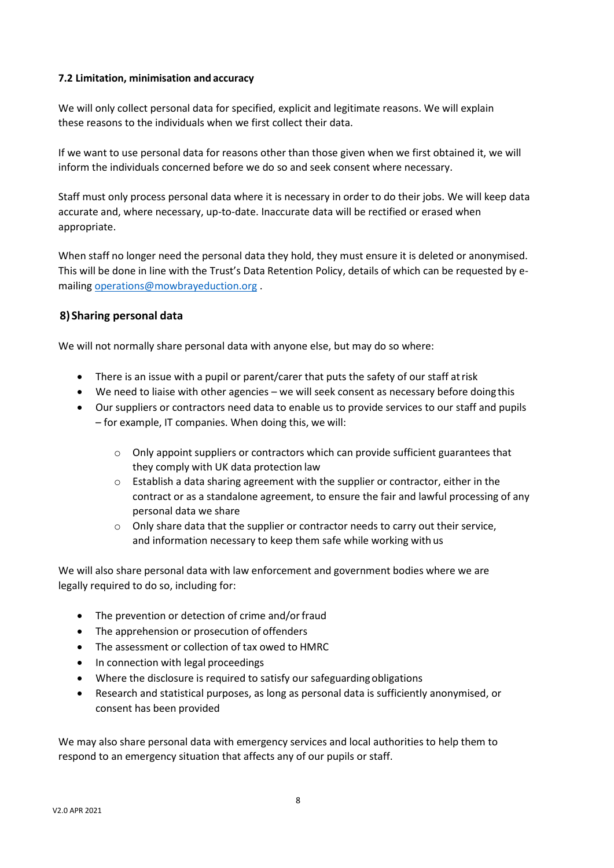#### **7.2 Limitation, minimisation and accuracy**

We will only collect personal data for specified, explicit and legitimate reasons. We will explain these reasons to the individuals when we first collect their data.

If we want to use personal data for reasons other than those given when we first obtained it, we will inform the individuals concerned before we do so and seek consent where necessary.

Staff must only process personal data where it is necessary in order to do their jobs. We will keep data accurate and, where necessary, up-to-date. Inaccurate data will be rectified or erased when appropriate.

When staff no longer need the personal data they hold, they must ensure it is deleted or anonymised. This will be done in line with the Trust's Data Retention Policy, details of which can be requested by emailin[g operations@mowbrayeduction.org](mailto:operations@mowbrayeduction.org) .

#### **8) Sharing personal data**

We will not normally share personal data with anyone else, but may do so where:

- There is an issue with a pupil or parent/carer that puts the safety of our staff atrisk
- We need to liaise with other agencies we will seek consent as necessary before doing this
- Our suppliers or contractors need data to enable us to provide services to our staff and pupils – for example, IT companies. When doing this, we will:
	- o Only appoint suppliers or contractors which can provide sufficient guarantees that they comply with UK data protection law
	- $\circ$  Establish a data sharing agreement with the supplier or contractor, either in the contract or as a standalone agreement, to ensure the fair and lawful processing of any personal data we share
	- $\circ$  Only share data that the supplier or contractor needs to carry out their service, and information necessary to keep them safe while working with us

We will also share personal data with law enforcement and government bodies where we are legally required to do so, including for:

- The prevention or detection of crime and/or fraud
- The apprehension or prosecution of offenders
- The assessment or collection of tax owed to HMRC
- In connection with legal proceedings
- Where the disclosure is required to satisfy our safeguarding obligations
- Research and statistical purposes, as long as personal data is sufficiently anonymised, or consent has been provided

We may also share personal data with emergency services and local authorities to help them to respond to an emergency situation that affects any of our pupils or staff.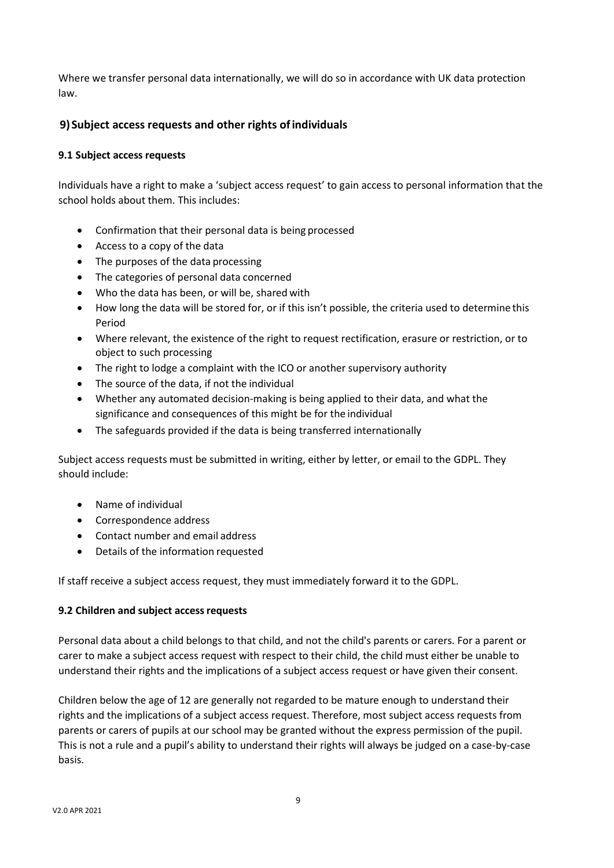Where we transfer personal data internationally, we will do so in accordance with UK data protection law.

#### **9) Subject access requests and other rights ofindividuals**

#### **9.1 Subject access requests**

Individuals have a right to make a 'subject access request' to gain access to personal information that the school holds about them. This includes:

- Confirmation that their personal data is being processed
- Access to a copy of the data
- The purposes of the data processing
- The categories of personal data concerned
- Who the data has been, or will be, shared with
- How long the data will be stored for, or if this isn't possible, the criteria used to determine this Period
- Where relevant, the existence of the right to request rectification, erasure or restriction, or to object to such processing
- The right to lodge a complaint with the ICO or another supervisory authority
- The source of the data, if not the individual
- Whether any automated decision-making is being applied to their data, and what the significance and consequences of this might be for the individual
- The safeguards provided if the data is being transferred internationally

Subject access requests must be submitted in writing, either by letter, or email to the GDPL. They should include:

- Name of individual
- Correspondence address
- Contact number and email address
- Details of the information requested

If staff receive a subject access request, they must immediately forward it to the GDPL.

#### **9.2 Children and subject accessrequests**

Personal data about a child belongs to that child, and not the child's parents or carers. For a parent or carer to make a subject access request with respect to their child, the child must either be unable to understand their rights and the implications of a subject access request or have given their consent.

Children below the age of 12 are generally not regarded to be mature enough to understand their rights and the implications of a subject access request. Therefore, most subject access requests from parents or carers of pupils at our school may be granted without the express permission of the pupil. This is not a rule and a pupil's ability to understand their rights will always be judged on a case-by-case basis.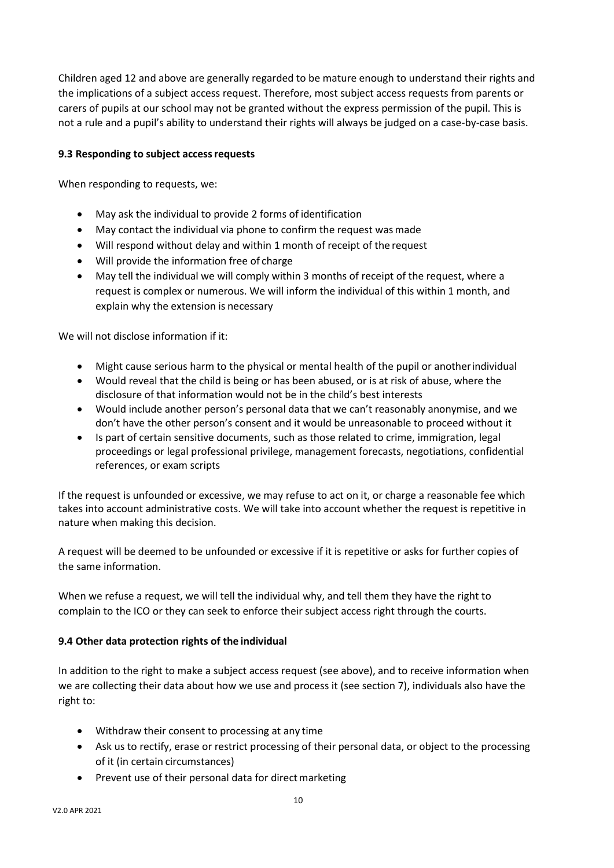Children aged 12 and above are generally regarded to be mature enough to understand their rights and the implications of a subject access request. Therefore, most subject access requests from parents or carers of pupils at our school may not be granted without the express permission of the pupil. This is not a rule and a pupil's ability to understand their rights will always be judged on a case-by-case basis.

#### **9.3 Responding to subject accessrequests**

When responding to requests, we:

- May ask the individual to provide 2 forms of identification
- May contact the individual via phone to confirm the request wasmade
- Will respond without delay and within 1 month of receipt of the request
- Will provide the information free of charge
- May tell the individual we will comply within 3 months of receipt of the request, where a request is complex or numerous. We will inform the individual of this within 1 month, and explain why the extension is necessary

We will not disclose information if it:

- Might cause serious harm to the physical or mental health of the pupil or anotherindividual
- Would reveal that the child is being or has been abused, or is at risk of abuse, where the disclosure of that information would not be in the child's best interests
- Would include another person's personal data that we can't reasonably anonymise, and we don't have the other person's consent and it would be unreasonable to proceed without it
- Is part of certain sensitive documents, such as those related to crime, immigration, legal proceedings or legal professional privilege, management forecasts, negotiations, confidential references, or exam scripts

If the request is unfounded or excessive, we may refuse to act on it, or charge a reasonable fee which takes into account administrative costs. We will take into account whether the request is repetitive in nature when making this decision.

A request will be deemed to be unfounded or excessive if it is repetitive or asks for further copies of the same information.

When we refuse a request, we will tell the individual why, and tell them they have the right to complain to the ICO or they can seek to enforce their subject access right through the courts.

#### **9.4 Other data protection rights of the individual**

In addition to the right to make a subject access request (see above), and to receive information when we are collecting their data about how we use and process it (see section 7), individuals also have the right to:

- Withdraw their consent to processing at any time
- Ask us to rectify, erase or restrict processing of their personal data, or object to the processing of it (in certain circumstances)
- Prevent use of their personal data for direct marketing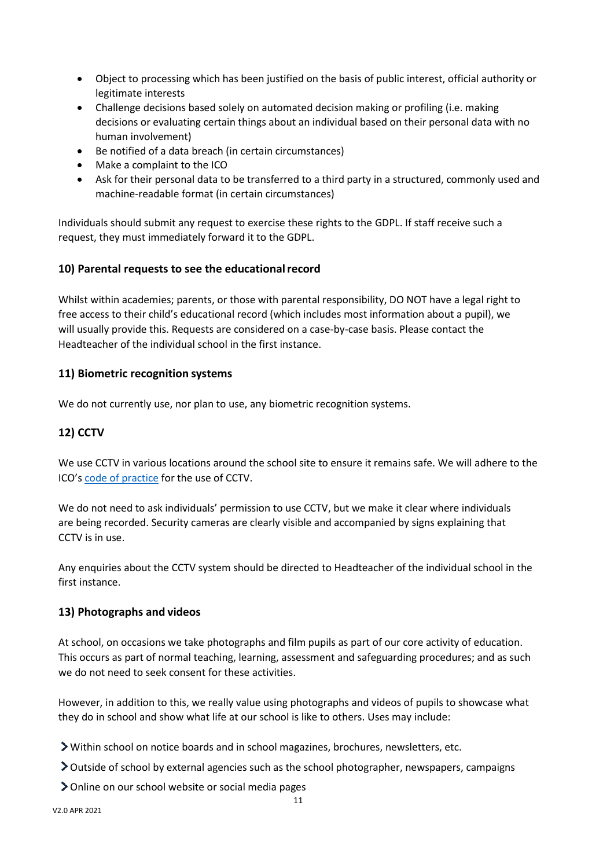- Object to processing which has been justified on the basis of public interest, official authority or legitimate interests
- Challenge decisions based solely on automated decision making or profiling (i.e. making decisions or evaluating certain things about an individual based on their personal data with no human involvement)
- Be notified of a data breach (in certain circumstances)
- Make a complaint to the ICO
- Ask for their personal data to be transferred to a third party in a structured, commonly used and machine-readable format (in certain circumstances)

Individuals should submit any request to exercise these rights to the GDPL. If staff receive such a request, they must immediately forward it to the GDPL.

#### **10) Parental requests to see the educationalrecord**

Whilst within academies; parents, or those with parental responsibility, DO NOT have a legal right to free access to their child's educational record (which includes most information about a pupil), we will usually provide this. Requests are considered on a case-by-case basis. Please contact the Headteacher of the individual school in the first instance.

#### **11) Biometric recognition systems**

We do not currently use, nor plan to use, any biometric recognition systems.

### **12) CCTV**

We use CCTV in various locations around the school site to ensure it remains safe. We will adhere to the ICO's [code of practice](https://ico.org.uk/media/for-organisations/documents/1542/cctv-code-of-practice.pdf) for the use of CCTV.

We do not need to ask individuals' permission to use CCTV, but we make it clear where individuals are being recorded. Security cameras are clearly visible and accompanied by signs explaining that CCTV is in use.

Any enquiries about the CCTV system should be directed to Headteacher of the individual school in the first instance.

#### **13) Photographs and videos**

At school, on occasions we take photographs and film pupils as part of our core activity of education. This occurs as part of normal teaching, learning, assessment and safeguarding procedures; and as such we do not need to seek consent for these activities.

However, in addition to this, we really value using photographs and videos of pupils to showcase what they do in school and show what life at our school is like to others. Uses may include:

- Within school on notice boards and in school magazines, brochures, newsletters, etc.
- Outside of school by external agencies such as the school photographer, newspapers, campaigns
- Online on our school website or social media pages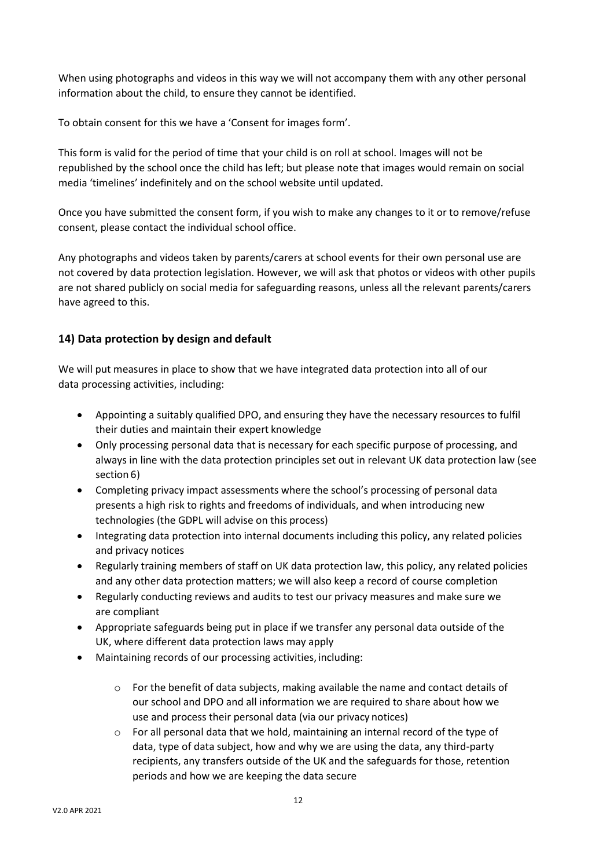When using photographs and videos in this way we will not accompany them with any other personal information about the child, to ensure they cannot be identified.

To obtain consent for this we have a 'Consent for images form'.

This form is valid for the period of time that your child is on roll at school. Images will not be republished by the school once the child has left; but please note that images would remain on social media 'timelines' indefinitely and on the school website until updated.

Once you have submitted the consent form, if you wish to make any changes to it or to remove/refuse consent, please contact the individual school office.

Any photographs and videos taken by parents/carers at school events for their own personal use are not covered by data protection legislation. However, we will ask that photos or videos with other pupils are not shared publicly on social media for safeguarding reasons, unless all the relevant parents/carers have agreed to this.

#### **14) Data protection by design and default**

We will put measures in place to show that we have integrated data protection into all of our data processing activities, including:

- Appointing a suitably qualified DPO, and ensuring they have the necessary resources to fulfil their duties and maintain their expert knowledge
- Only processing personal data that is necessary for each specific purpose of processing, and always in line with the data protection principles set out in relevant UK data protection law (see section 6)
- Completing privacy impact assessments where the school's processing of personal data presents a high risk to rights and freedoms of individuals, and when introducing new technologies (the GDPL will advise on this process)
- Integrating data protection into internal documents including this policy, any related policies and privacy notices
- Regularly training members of staff on UK data protection law, this policy, any related policies and any other data protection matters; we will also keep a record of course completion
- Regularly conducting reviews and audits to test our privacy measures and make sure we are compliant
- Appropriate safeguards being put in place if we transfer any personal data outside of the UK, where different data protection laws may apply
- Maintaining records of our processing activities, including:
	- $\circ$  For the benefit of data subjects, making available the name and contact details of our school and DPO and all information we are required to share about how we use and process their personal data (via our privacy notices)
	- $\circ$  For all personal data that we hold, maintaining an internal record of the type of data, type of data subject, how and why we are using the data, any third-party recipients, any transfers outside of the UK and the safeguards for those, retention periods and how we are keeping the data secure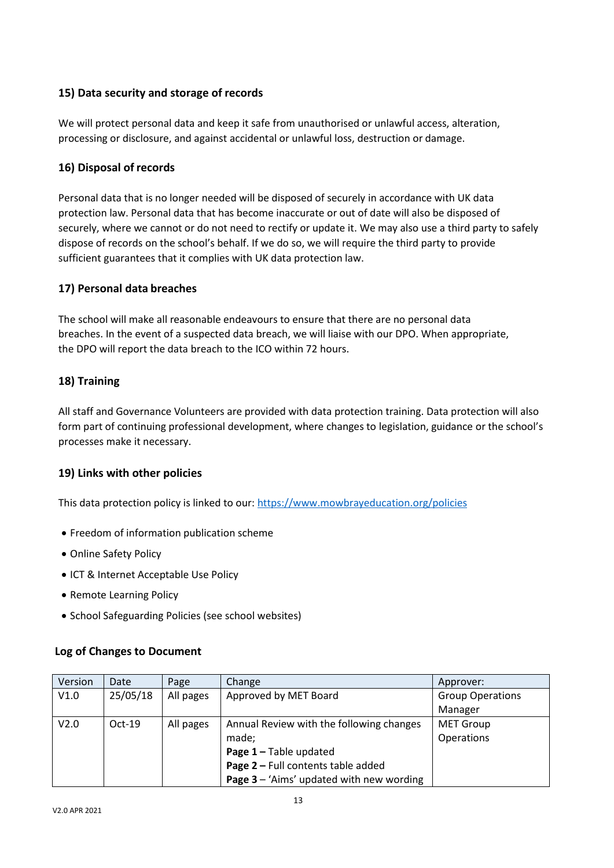#### **15) Data security and storage of records**

We will protect personal data and keep it safe from unauthorised or unlawful access, alteration, processing or disclosure, and against accidental or unlawful loss, destruction or damage.

#### **16) Disposal of records**

Personal data that is no longer needed will be disposed of securely in accordance with UK data protection law. Personal data that has become inaccurate or out of date will also be disposed of securely, where we cannot or do not need to rectify or update it. We may also use a third party to safely dispose of records on the school's behalf. If we do so, we will require the third party to provide sufficient guarantees that it complies with UK data protection law.

#### **17) Personal data breaches**

The school will make all reasonable endeavours to ensure that there are no personal data breaches. In the event of a suspected data breach, we will liaise with our DPO. When appropriate, the DPO will report the data breach to the ICO within 72 hours.

#### **18) Training**

All staff and Governance Volunteers are provided with data protection training. Data protection will also form part of continuing professional development, where changes to legislation, guidance or the school's processes make it necessary.

#### **19) Links with other policies**

This data protection policy is linked to our: <https://www.mowbrayeducation.org/policies>

- Freedom of information publication scheme
- Online Safety Policy
- ICT & Internet Acceptable Use Policy
- Remote Learning Policy
- School Safeguarding Policies (see school websites)

#### **Log of Changes to Document**

| Version          | Date     | Page      | Change                                     | Approver:               |
|------------------|----------|-----------|--------------------------------------------|-------------------------|
| V1.0             | 25/05/18 | All pages | Approved by MET Board                      | <b>Group Operations</b> |
|                  |          |           |                                            | Manager                 |
| V <sub>2.0</sub> | $Oct-19$ | All pages | Annual Review with the following changes   | <b>MET Group</b>        |
|                  |          |           | made;                                      | Operations              |
|                  |          |           | Page $1 -$ Table updated                   |                         |
|                  |          |           | Page 2 - Full contents table added         |                         |
|                  |          |           | Page $3 - 4$ ims' updated with new wording |                         |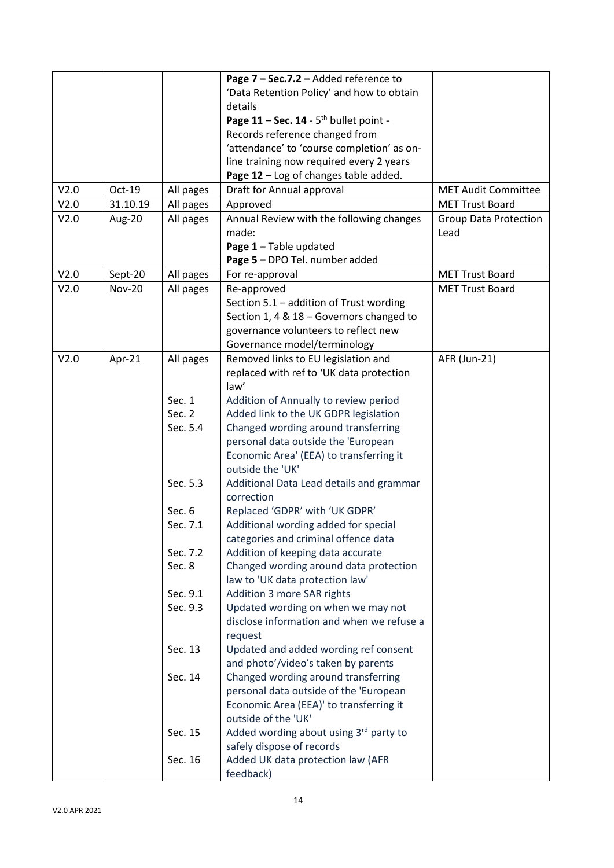|      |               |           | Page 7 - Sec.7.2 - Added reference to       |                              |
|------|---------------|-----------|---------------------------------------------|------------------------------|
|      |               |           |                                             |                              |
|      |               |           | 'Data Retention Policy' and how to obtain   |                              |
|      |               |           | details                                     |                              |
|      |               |           | Page $11 - Sec. 14 - 5th$ bullet point -    |                              |
|      |               |           | Records reference changed from              |                              |
|      |               |           | 'attendance' to 'course completion' as on-  |                              |
|      |               |           | line training now required every 2 years    |                              |
|      |               |           | Page 12 - Log of changes table added.       |                              |
| V2.0 | Oct-19        | All pages | Draft for Annual approval                   | <b>MET Audit Committee</b>   |
| V2.0 | 31.10.19      | All pages | Approved                                    | <b>MET Trust Board</b>       |
| V2.0 | Aug-20        | All pages | Annual Review with the following changes    | <b>Group Data Protection</b> |
|      |               |           | made:                                       | Lead                         |
|      |               |           | Page 1 - Table updated                      |                              |
|      |               |           | Page 5 - DPO Tel. number added              |                              |
| V2.0 | Sept-20       | All pages | For re-approval                             | <b>MET Trust Board</b>       |
| V2.0 | <b>Nov-20</b> | All pages | Re-approved                                 | <b>MET Trust Board</b>       |
|      |               |           | Section 5.1 - addition of Trust wording     |                              |
|      |               |           | Section 1, 4 & 18 - Governors changed to    |                              |
|      |               |           | governance volunteers to reflect new        |                              |
|      |               |           | Governance model/terminology                |                              |
| V2.0 | Apr-21        | All pages | Removed links to EU legislation and         | AFR (Jun-21)                 |
|      |               |           | replaced with ref to 'UK data protection    |                              |
|      |               |           | law'                                        |                              |
|      |               | Sec. 1    | Addition of Annually to review period       |                              |
|      |               | Sec. 2    | Added link to the UK GDPR legislation       |                              |
|      |               | Sec. 5.4  | Changed wording around transferring         |                              |
|      |               |           | personal data outside the 'European         |                              |
|      |               |           | Economic Area' (EEA) to transferring it     |                              |
|      |               |           | outside the 'UK'                            |                              |
|      |               | Sec. 5.3  | Additional Data Lead details and grammar    |                              |
|      |               |           | correction                                  |                              |
|      |               | Sec. 6    |                                             |                              |
|      |               | Sec. 7.1  | Replaced 'GDPR' with 'UK GDPR'              |                              |
|      |               |           | Additional wording added for special        |                              |
|      |               |           | categories and criminal offence data        |                              |
|      |               | Sec. 7.2  | Addition of keeping data accurate           |                              |
|      |               | Sec. 8    | Changed wording around data protection      |                              |
|      |               |           | law to 'UK data protection law'             |                              |
|      |               | Sec. 9.1  | Addition 3 more SAR rights                  |                              |
|      |               | Sec. 9.3  | Updated wording on when we may not          |                              |
|      |               |           | disclose information and when we refuse a   |                              |
|      |               |           | request                                     |                              |
|      |               | Sec. 13   | Updated and added wording ref consent       |                              |
|      |               |           | and photo'/video's taken by parents         |                              |
|      |               | Sec. 14   | Changed wording around transferring         |                              |
|      |               |           | personal data outside of the 'European      |                              |
|      |               |           | Economic Area (EEA)' to transferring it     |                              |
|      |               |           | outside of the 'UK'                         |                              |
|      |               | Sec. 15   | Added wording about using $3^{rd}$ party to |                              |
|      |               |           | safely dispose of records                   |                              |
|      |               | Sec. 16   | Added UK data protection law (AFR           |                              |
|      |               |           | feedback)                                   |                              |